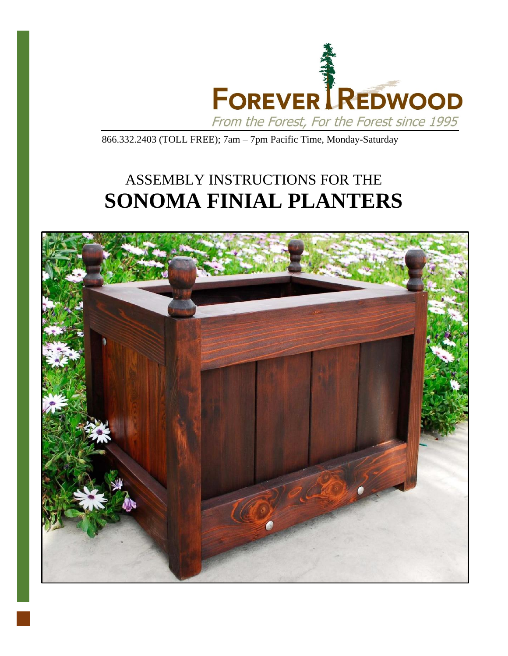

866.332.2403 (TOLL FREE); 7am – 7pm Pacific Time, Monday-Saturday

## ASSEMBLY INSTRUCTIONS FOR THE **SONOMA FINIAL PLANTERS**

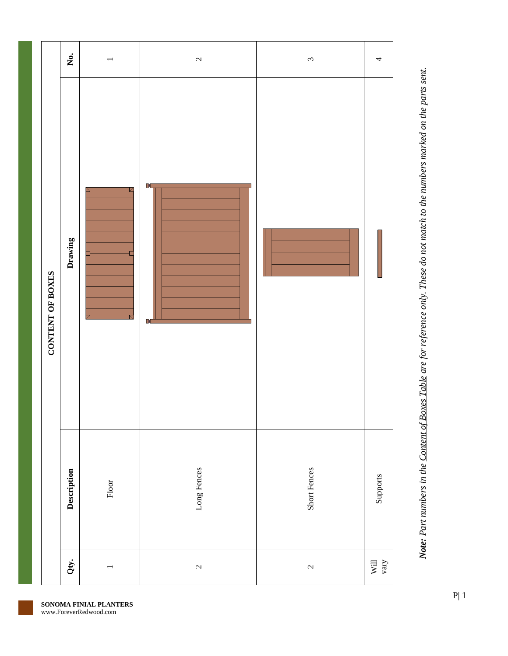|                  | $\mathring{\mathbf{z}}$ |                                    | $\mathfrak{c}$           | $\sim$         | 4            |
|------------------|-------------------------|------------------------------------|--------------------------|----------------|--------------|
| CONTENT OF BOXES | Drawing                 | Z<br>$\overline{\phantom{a}}$<br>↸ | <b>IX</b><br>$\mathbb N$ |                |              |
|                  | Description             | $_{\rm Floor}$                     | Long Fences              | Short Fences   | Supports     |
|                  | Qty.                    |                                    | $\mathfrak{c}$           | $\mathfrak{g}$ | Will<br>vary |

Note: Part numbers in the Content of Boxes Table are for reference only. These do not match to the numbers marked on the parts sent. *Note: Part numbers in the Content of Boxes Table are for reference only. These do not match to the numbers marked on the parts sent.*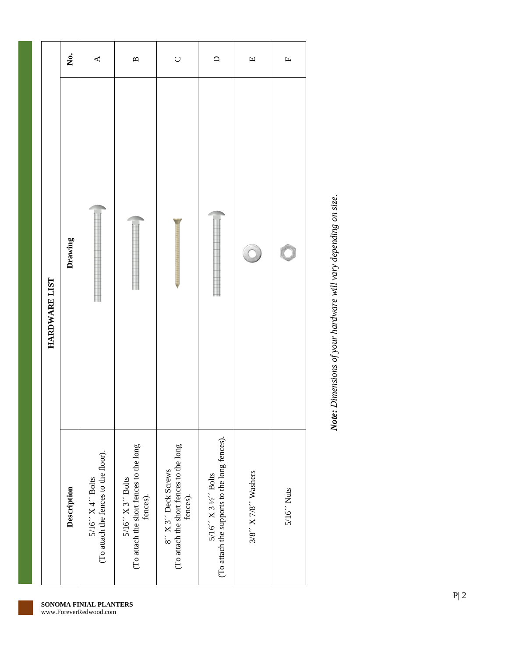|               | $\dot{\mathsf{z}}$ | $\blacktriangleleft$                                        | $\mathbf{p}$                                                                  | $\cup$                                                                     | $\Box$                                                                | $\Box$              | $\mathbf{L}$ |
|---------------|--------------------|-------------------------------------------------------------|-------------------------------------------------------------------------------|----------------------------------------------------------------------------|-----------------------------------------------------------------------|---------------------|--------------|
| HARDWARE LIST | Drawing            |                                                             |                                                                               |                                                                            |                                                                       |                     |              |
|               | Description        | (To attach the fences to the floor).<br>$5/16''$ X 4" Bolts | (To attach the short fences to the long<br>$5/16''$ X $3''$ Bolts<br>fences). | (To attach the short fences to the long<br>fences).<br>8" X 3" Deck Screws | (To attach the supports to the long fences).<br>$5/16''$ X 3 ½" Bolts | 3/8" X 7/8" Washers | $5/16'$ Nuts |

Note: Dimensions of your hardware will vary depending on size. *Note: Dimensions of your hardware will vary depending on size.*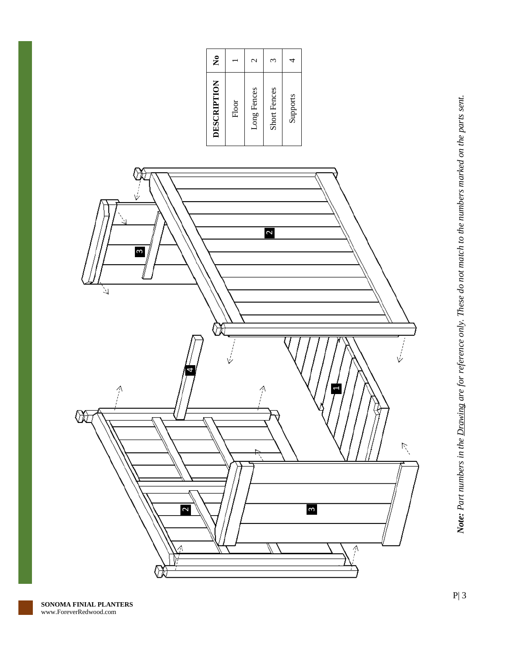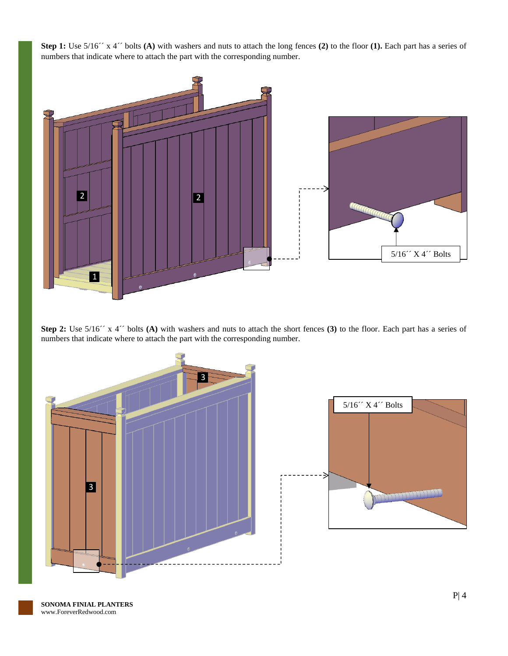**Step 1:** Use 5/16´´ x 4´´ bolts **(A)** with washers and nuts to attach the long fences **(2)** to the floor **(1).** Each part has a series of numbers that indicate where to attach the part with the corresponding number.



**Step 2:** Use  $5/16''$  x 4<sup> $\prime\prime$ </sup> bolts **(A)** with washers and nuts to attach the short fences **(3)** to the floor. Each part has a series of numbers that indicate where to attach the part with the corresponding number.



**SONOMA FINIAL PLANTERS** www.ForeverRedwood.com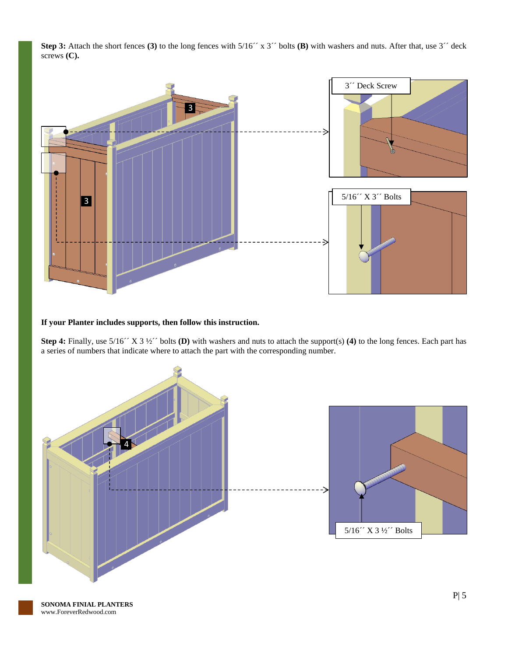**Step 3:** Attach the short fences (3) to the long fences with  $5/16$ <sup>o</sup> x 3<sup>o</sup> bolts (B) with washers and nuts. After that, use 3<sup>o</sup> deck screws **(C).**



## **If your Planter includes supports, then follow this instruction.**

**Step 4:** Finally, use 5/16´´ X 3 ½´´ bolts **(D)** with washers and nuts to attach the support(s) **(4)** to the long fences. Each part has a series of numbers that indicate where to attach the part with the corresponding number.



**SONOMA FINIAL PLANTERS** www.ForeverRedwood.com